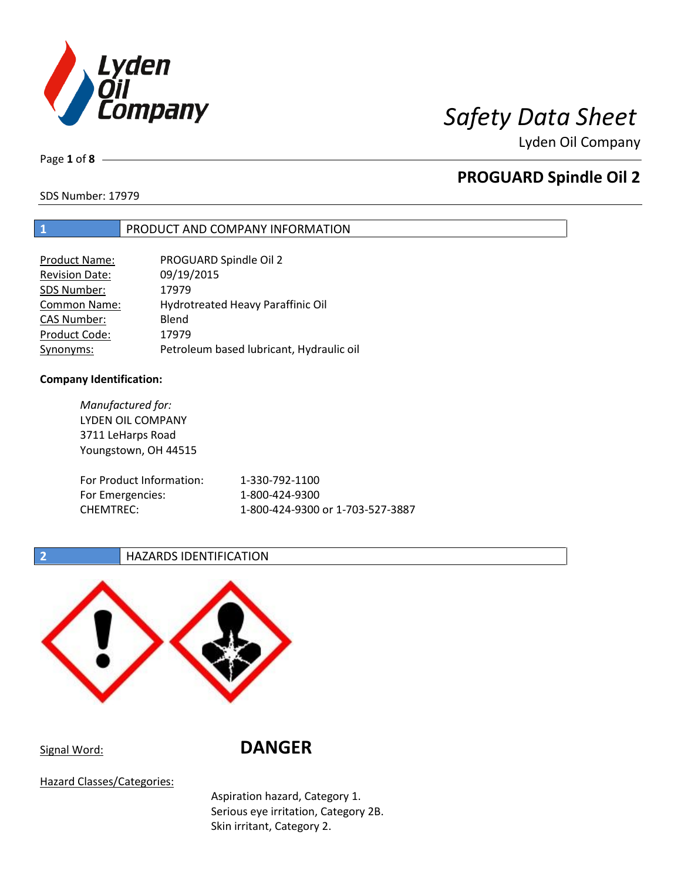

Lyden Oil Company

Page **1** of **8**

## **PROGUARD Spindle Oil 2**

SDS Number: 17979

### **1** PRODUCT AND COMPANY INFORMATION

| <b>Product Name:</b>  | PROGUARD Spindle Oil 2                   |
|-----------------------|------------------------------------------|
| <b>Revision Date:</b> | 09/19/2015                               |
| SDS Number:           | 17979                                    |
| <b>Common Name:</b>   | Hydrotreated Heavy Paraffinic Oil        |
| <b>CAS Number:</b>    | Blend                                    |
| Product Code:         | 17979                                    |
| Synonyms:             | Petroleum based lubricant, Hydraulic oil |

#### **Company Identification:**

*Manufactured for:* LYDEN OIL COMPANY 3711 LeHarps Road Youngstown, OH 44515 For Product Information: 1-330-792-1100 For Emergencies: 1-800-424-9300 CHEMTREC: 1-800-424-9300 or 1-703-527-3887

### **2 HAZARDS IDENTIFICATION**



Signal Word: **DANGER**

Hazard Classes/Categories:

Aspiration hazard, Category 1. Serious eye irritation, Category 2B. Skin irritant, Category 2.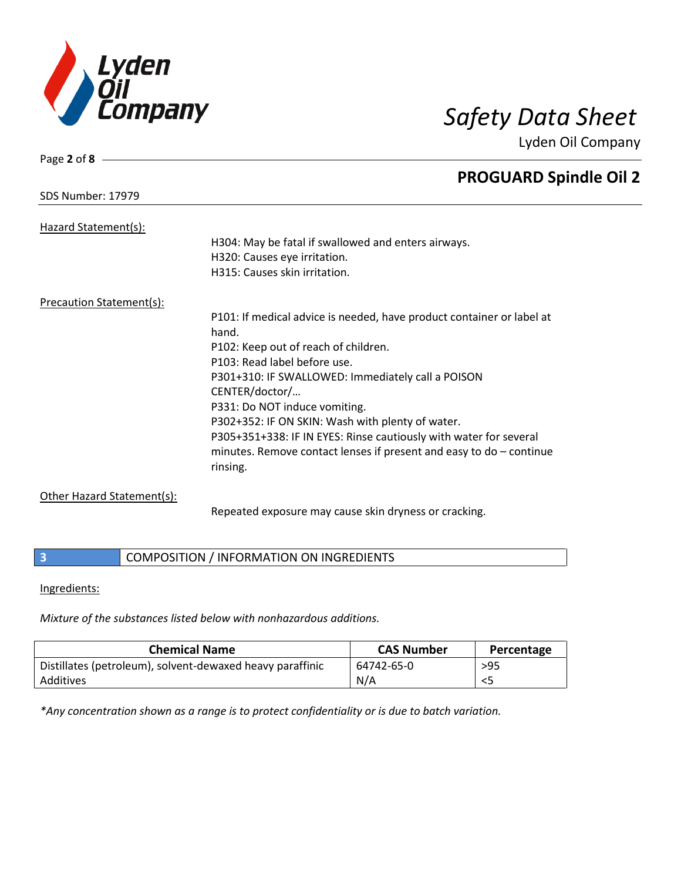

Lyden Oil Company

| Page 2 of 8                     |                                                                       |
|---------------------------------|-----------------------------------------------------------------------|
|                                 | <b>PROGUARD Spindle Oil 2</b>                                         |
| <b>SDS Number: 17979</b>        |                                                                       |
| Hazard Statement(s):            |                                                                       |
|                                 | H304: May be fatal if swallowed and enters airways.                   |
|                                 | H320: Causes eye irritation.                                          |
|                                 | H315: Causes skin irritation.                                         |
| <b>Precaution Statement(s):</b> |                                                                       |
|                                 | P101: If medical advice is needed, have product container or label at |
|                                 | hand.                                                                 |
|                                 | P102: Keep out of reach of children.                                  |
|                                 | P103: Read label before use.                                          |
|                                 | P301+310: IF SWALLOWED: Immediately call a POISON                     |
|                                 | CENTER/doctor/                                                        |
|                                 | P331: Do NOT induce vomiting.                                         |
|                                 | P302+352: IF ON SKIN: Wash with plenty of water.                      |
|                                 | P305+351+338: IF IN EYES: Rinse cautiously with water for several     |
|                                 | minutes. Remove contact lenses if present and easy to $do$ – continue |
|                                 | rinsing.                                                              |
| Other Hazard Statement(s):      |                                                                       |

Repeated exposure may cause skin dryness or cracking.

### **3** COMPOSITION / INFORMATION ON INGREDIENTS

#### Ingredients:

*Mixture of the substances listed below with nonhazardous additions.*

| <b>Chemical Name</b>                                      | <b>CAS Number</b> | Percentage |
|-----------------------------------------------------------|-------------------|------------|
| Distillates (petroleum), solvent-dewaxed heavy paraffinic | 64742-65-0        | $>95$      |
| Additives                                                 | N/A               |            |

*\*Any concentration shown as a range is to protect confidentiality or is due to batch variation.*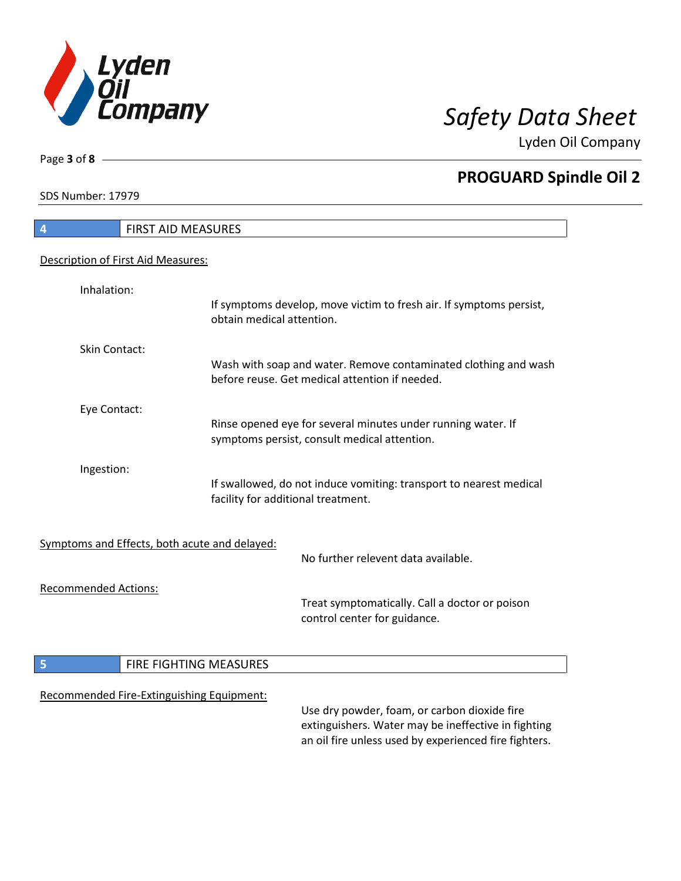

Lyden Oil Company

SDS Number: 17979

Page **3** of **8**

# **4** FIRST AID MEASURES Description of First Aid Measures: Inhalation: If symptoms develop, move victim to fresh air. If symptoms persist, obtain medical attention. Skin Contact: Wash with soap and water. Remove contaminated clothing and wash before reuse. Get medical attention if needed. Eye Contact: Rinse opened eye for several minutes under running water. If symptoms persist, consult medical attention. Ingestion: If swallowed, do not induce vomiting: transport to nearest medical facility for additional treatment. Symptoms and Effects, both acute and delayed: No further relevent data available. Recommended Actions: Treat symptomatically. Call a doctor or poison control center for guidance. **5 FIRE FIGHTING MEASURES** Recommended Fire-Extinguishing Equipment: Use dry powder, foam, or carbon dioxide fire extinguishers. Water may be ineffective in fighting

an oil fire unless used by experienced fire fighters.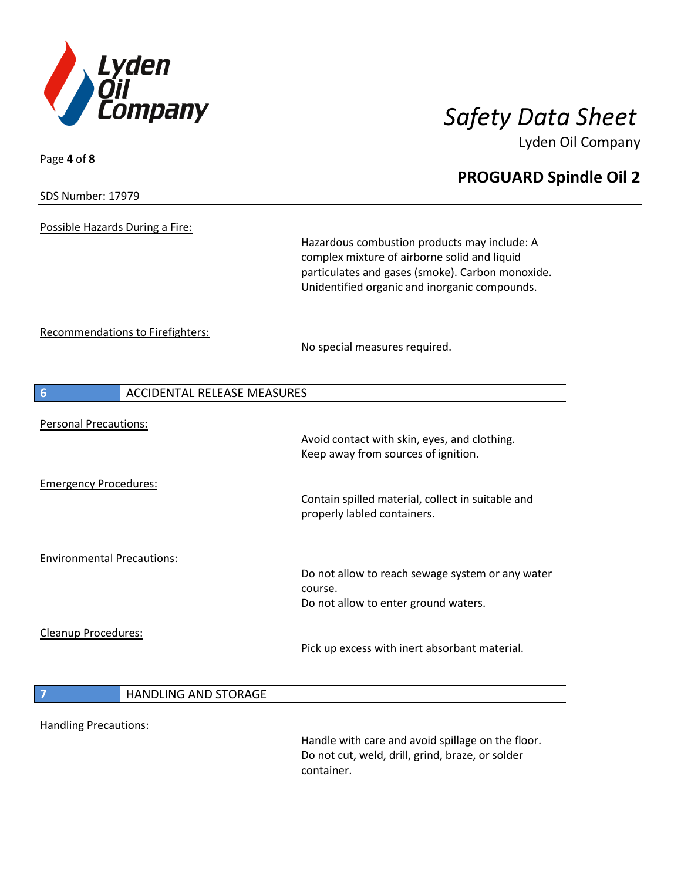

Lyden Oil Company

#### SDS Number: 17979

Page **4** of **8**

Possible Hazards During a Fire:

Hazardous combustion products may include: A complex mixture of airborne solid and liquid particulates and gases (smoke). Carbon monoxide. Unidentified organic and inorganic compounds.

Recommendations to Firefighters:

No special measures required.

| $6\phantom{1}6$                   | <b>ACCIDENTAL RELEASE MEASURES</b> |                                                                                                                     |
|-----------------------------------|------------------------------------|---------------------------------------------------------------------------------------------------------------------|
| <b>Personal Precautions:</b>      |                                    | Avoid contact with skin, eyes, and clothing.<br>Keep away from sources of ignition.                                 |
| <b>Emergency Procedures:</b>      |                                    | Contain spilled material, collect in suitable and<br>properly labled containers.                                    |
| <b>Environmental Precautions:</b> |                                    | Do not allow to reach sewage system or any water<br>course.<br>Do not allow to enter ground waters.                 |
| Cleanup Procedures:               |                                    | Pick up excess with inert absorbant material.                                                                       |
| $\overline{7}$                    | <b>HANDLING AND STORAGE</b>        |                                                                                                                     |
| <b>Handling Precautions:</b>      |                                    | Handle with care and avoid spillage on the floor.<br>Do not cut, weld, drill, grind, braze, or solder<br>container. |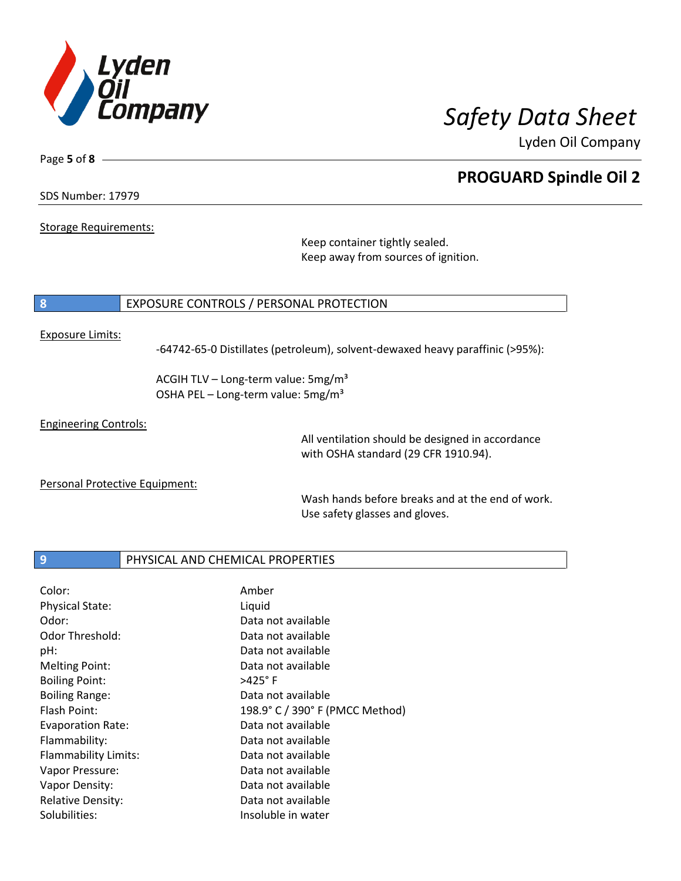

Lyden Oil Company

SDS Number: 17979

Page **5** of **8**

Storage Requirements:

Keep container tightly sealed. Keep away from sources of ignition.

### **8** EXPOSURE CONTROLS / PERSONAL PROTECTION

#### Exposure Limits:

-64742-65-0 Distillates (petroleum), solvent-dewaxed heavy paraffinic (>95%):

ACGIH TLV – Long-term value:  $5mg/m<sup>3</sup>$ OSHA PEL - Long-term value: 5mg/m<sup>3</sup>

Engineering Controls:

All ventilation should be designed in accordance with OSHA standard (29 CFR 1910.94).

Personal Protective Equipment:

Wash hands before breaks and at the end of work. Use safety glasses and gloves.

### **9** PHYSICAL AND CHEMICAL PROPERTIES

| Color:                   | Amber                           |
|--------------------------|---------------------------------|
| <b>Physical State:</b>   | Liquid                          |
| Odor:                    | Data not available              |
| Odor Threshold:          | Data not available              |
| pH:                      | Data not available              |
| <b>Melting Point:</b>    | Data not available              |
| <b>Boiling Point:</b>    | $>425^\circ$ F                  |
| <b>Boiling Range:</b>    | Data not available              |
| Flash Point:             | 198.9° C / 390° F (PMCC Method) |
| Evaporation Rate:        | Data not available              |
| Flammability:            | Data not available              |
| Flammability Limits:     | Data not available              |
| Vapor Pressure:          | Data not available              |
| Vapor Density:           | Data not available              |
| <b>Relative Density:</b> | Data not available              |
| Solubilities:            | Insoluble in water              |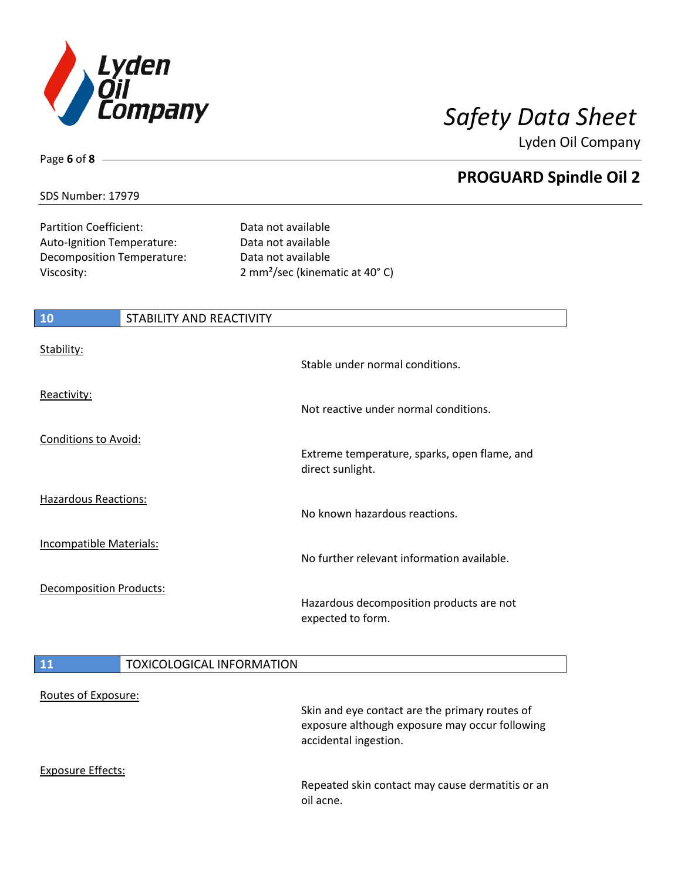

Lyden Oil Company

### SDS Number: 17979

Page **6** of **8**

Partition Coefficient: Data not available Auto-Ignition Temperature: Data not available Decomposition Temperature: Data not available

Viscosity: 2 mm²/sec (kinematic at 40° C)

| <b>10</b>                      | <b>STABILITY AND REACTIVITY</b>  |                                                                                                  |
|--------------------------------|----------------------------------|--------------------------------------------------------------------------------------------------|
| Stability:                     |                                  | Stable under normal conditions.                                                                  |
| Reactivity:                    |                                  | Not reactive under normal conditions.                                                            |
| Conditions to Avoid:           |                                  |                                                                                                  |
|                                |                                  | Extreme temperature, sparks, open flame, and<br>direct sunlight.                                 |
| <b>Hazardous Reactions:</b>    |                                  | No known hazardous reactions.                                                                    |
| <b>Incompatible Materials:</b> |                                  | No further relevant information available.                                                       |
| <b>Decomposition Products:</b> |                                  | Hazardous decomposition products are not<br>expected to form.                                    |
| <b>11</b>                      | <b>TOXICOLOGICAL INFORMATION</b> |                                                                                                  |
| Routes of Exposure:            |                                  | Skin and eye contact are the primary routes of<br>exposure although exposure may occur following |

Exposure Effects:

Repeated skin contact may cause dermatitis or an oil acne.

accidental ingestion.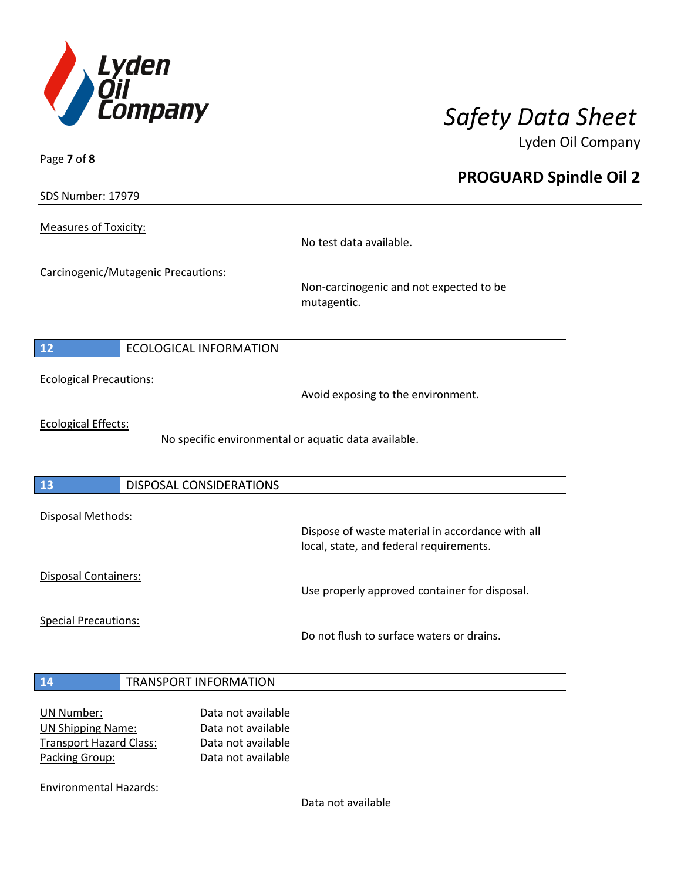

Lyden Oil Company

SDS Number: 17979

Page **7** of **8**

Measures of Toxicity:

No test data available.

Carcinogenic/Mutagenic Precautions:

Non-carcinogenic and not expected to be mutagentic.

### **12** ECOLOGICAL INFORMATION

Ecological Precautions:

Avoid exposing to the environment.

Ecological Effects:

No specific environmental or aquatic data available.

### **13** DISPOSAL CONSIDERATIONS

Disposal Methods:

Disposal Containers:

Use properly approved container for disposal.

Dispose of waste material in accordance with all

Special Precautions:

Do not flush to surface waters or drains.

local, state, and federal requirements.

#### **14** TRANSPORT INFORMATION

| UN Number:                     | Data not available |
|--------------------------------|--------------------|
| <b>UN Shipping Name:</b>       | Data not available |
| <b>Transport Hazard Class:</b> | Data not available |
| Packing Group:                 | Data not available |

Environmental Hazards:

Data not available